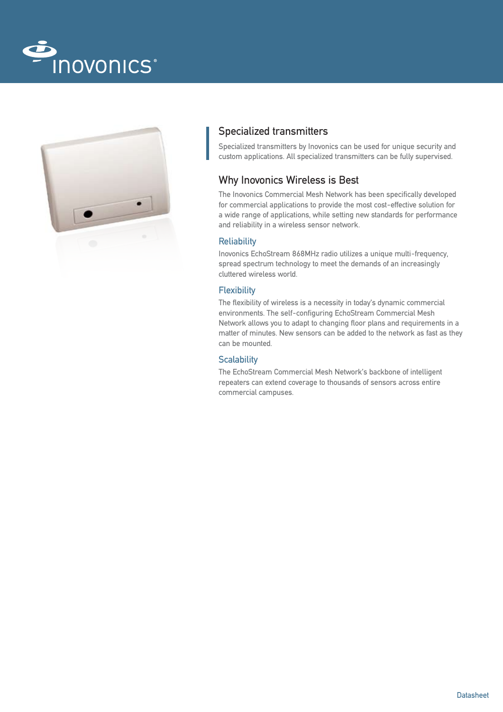



# Specialized transmitters

Specialized transmitters by Inovonics can be used for unique security and custom applications. All specialized transmitters can be fully supervised.

# Why Inovonics Wireless is Best

The Inovonics Commercial Mesh Network has been specifically developed for commercial applications to provide the most cost-effective solution for a wide range of applications, while setting new standards for performance and reliability in a wireless sensor network.

## **Reliability**

Inovonics EchoStream 868MHz radio utilizes a unique multi-frequency, spread spectrum technology to meet the demands of an increasingly cluttered wireless world.

## **Flexibility**

The flexibility of wireless is a necessity in today's dynamic commercial environments. The self-configuring EchoStream Commercial Mesh Network allows you to adapt to changing floor plans and requirements in a matter of minutes. New sensors can be added to the network as fast as they can be mounted.

## **Scalability**

The EchoStream Commercial Mesh Network's backbone of intelligent repeaters can extend coverage to thousands of sensors across entire commercial campuses.